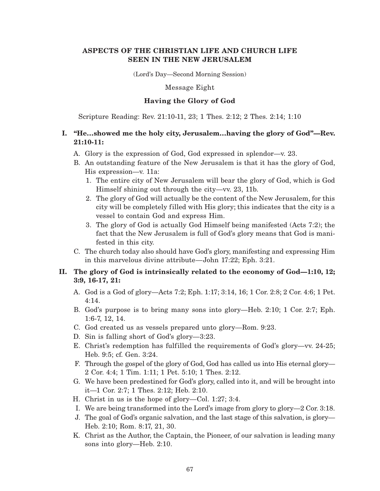# **ASPECTS OF THE CHRISTIAN LIFE AND CHURCH LIFE SEEN IN THE NEW JERUSALEM**

(Lord's Day—Second Morning Session)

Message Eight

### **Having the Glory of God**

Scripture Reading: Rev. 21:10-11, 23; 1 Thes. 2:12; 2 Thes. 2:14; 1:10

# **I. "He…showed me the holy city, Jerusalem…having the glory of God"—Rev. 21:10-11:**

- A. Glory is the expression of God, God expressed in splendor—v. 23.
- B. An outstanding feature of the New Jerusalem is that it has the glory of God, His expression—v. 11a:
	- 1. The entire city of New Jerusalem will bear the glory of God, which is God Himself shining out through the city—vv. 23, 11b.
	- 2. The glory of God will actually be the content of the New Jerusalem, for this city will be completely filled with His glory; this indicates that the city is a vessel to contain God and express Him.
	- 3. The glory of God is actually God Himself being manifested (Acts 7:2); the fact that the New Jerusalem is full of God's glory means that God is manifested in this city.
- C. The church today also should have God's glory, manifesting and expressing Him in this marvelous divine attribute—John 17:22; Eph. 3:21.

# **II. The glory of God is intrinsically related to the economy of God—1:10, 12; 3:9, 16-17, 21:**

- A. God is a God of glory—Acts 7:2; Eph. 1:17; 3:14, 16; 1 Cor. 2:8; 2 Cor. 4:6; 1 Pet. 4:14.
- B. God's purpose is to bring many sons into glory—Heb. 2:10; 1 Cor. 2:7; Eph. 1:6-7, 12, 14.
- C. God created us as vessels prepared unto glory—Rom. 9:23.
- D. Sin is falling short of God's glory—3:23.
- E. Christ's redemption has fulfilled the requirements of God's glory—vv. 24-25; Heb. 9:5; cf. Gen. 3:24.
- F. Through the gospel of the glory of God, God has called us into His eternal glory— 2 Cor. 4:4; 1 Tim. 1:11; 1 Pet. 5:10; 1 Thes. 2:12.
- G. We have been predestined for God's glory, called into it, and will be brought into it—1 Cor. 2:7; 1 Thes. 2:12; Heb. 2:10.
- H. Christ in us is the hope of glory—Col. 1:27; 3:4.
- I. We are being transformed into the Lord's image from glory to glory—2 Cor. 3:18.
- J. The goal of God's organic salvation, and the last stage of this salvation, is glory— Heb. 2:10; Rom. 8:17, 21, 30.
- K. Christ as the Author, the Captain, the Pioneer, of our salvation is leading many sons into glory—Heb. 2:10.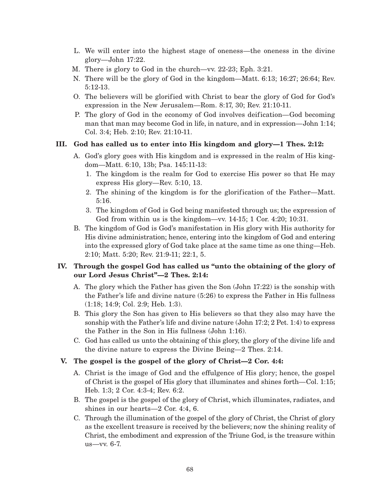- L. We will enter into the highest stage of oneness—the oneness in the divine glory—John 17:22.
- M. There is glory to God in the church—vv. 22-23; Eph. 3:21.
- N. There will be the glory of God in the kingdom—Matt. 6:13; 16:27; 26:64; Rev. 5:12-13.
- O. The believers will be glorified with Christ to bear the glory of God for God's expression in the New Jerusalem—Rom. 8:17, 30; Rev. 21:10-11.
- P. The glory of God in the economy of God involves deification—God becoming man that man may become God in life, in nature, and in expression—John 1:14; Col. 3:4; Heb. 2:10; Rev. 21:10-11.

### **III. God has called us to enter into His kingdom and glory—1 Thes. 2:12:**

- A. God's glory goes with His kingdom and is expressed in the realm of His kingdom—Matt. 6:10, 13b; Psa. 145:11-13:
	- 1. The kingdom is the realm for God to exercise His power so that He may express His glory—Rev. 5:10, 13.
	- 2. The shining of the kingdom is for the glorification of the Father—Matt. 5:16.
	- 3. The kingdom of God is God being manifested through us; the expression of God from within us is the kingdom—vv. 14-15; 1 Cor. 4:20; 10:31.
- B. The kingdom of God is God's manifestation in His glory with His authority for His divine administration; hence, entering into the kingdom of God and entering into the expressed glory of God take place at the same time as one thing—Heb. 2:10; Matt. 5:20; Rev. 21:9-11; 22:1, 5.

# **IV. Through the gospel God has called us "unto the obtaining of the glory of our Lord Jesus Christ"—2 Thes. 2:14:**

- A. The glory which the Father has given the Son (John 17:22) is the sonship with the Father's life and divine nature (5:26) to express the Father in His fullness (1:18; 14:9; Col. 2:9; Heb. 1:3).
- B. This glory the Son has given to His believers so that they also may have the sonship with the Father's life and divine nature (John 17:2; 2 Pet. 1:4) to express the Father in the Son in His fullness (John 1:16).
- C. God has called us unto the obtaining of this glory, the glory of the divine life and the divine nature to express the Divine Being—2 Thes. 2:14.

# **V. The gospel is the gospel of the glory of Christ—2 Cor. 4:4:**

- A. Christ is the image of God and the effulgence of His glory; hence, the gospel of Christ is the gospel of His glory that illuminates and shines forth—Col. 1:15; Heb. 1:3; 2 Cor. 4:3-4; Rev. 6:2.
- B. The gospel is the gospel of the glory of Christ, which illuminates, radiates, and shines in our hearts—2 Cor. 4:4, 6.
- C. Through the illumination of the gospel of the glory of Christ, the Christ of glory as the excellent treasure is received by the believers; now the shining reality of Christ, the embodiment and expression of the Triune God, is the treasure within us—vv. 6-7.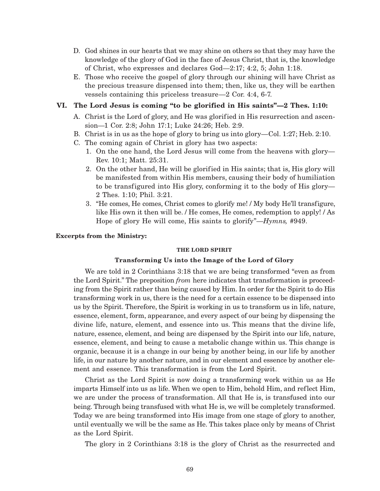- D. God shines in our hearts that we may shine on others so that they may have the knowledge of the glory of God in the face of Jesus Christ, that is, the knowledge of Christ, who expresses and declares God—2:17; 4:2, 5; John 1:18.
- E. Those who receive the gospel of glory through our shining will have Christ as the precious treasure dispensed into them; then, like us, they will be earthen vessels containing this priceless treasure—2 Cor. 4:4, 6-7.

### **VI. The Lord Jesus is coming "to be glorified in His saints"—2 Thes. 1:10:**

- A. Christ is the Lord of glory, and He was glorified in His resurrection and ascension—1 Cor. 2:8; John 17:1; Luke 24:26; Heb. 2:9.
- B. Christ is in us as the hope of glory to bring us into glory—Col. 1:27; Heb. 2:10.
- C. The coming again of Christ in glory has two aspects:
	- 1. On the one hand, the Lord Jesus will come from the heavens with glory— Rev. 10:1; Matt. 25:31.
	- 2. On the other hand, He will be glorified in His saints; that is, His glory will be manifested from within His members, causing their body of humiliation to be transfigured into His glory, conforming it to the body of His glory— 2 Thes. 1:10; Phil. 3:21.
	- 3. "He comes, He comes, Christ comes to glorify me! / My body He'll transfigure, like His own it then will be. / He comes, He comes, redemption to apply! / As Hope of glory He will come, His saints to glorify"—*Hymns,* #949.

#### **Excerpts from the Ministry:**

#### **THE LORD SPIRIT**

#### **Transforming Us into the Image of the Lord of Glory**

We are told in 2 Corinthians 3:18 that we are being transformed "even as from the Lord Spirit." The preposition *from* here indicates that transformation is proceeding from the Spirit rather than being caused by Him. In order for the Spirit to do His transforming work in us, there is the need for a certain essence to be dispensed into us by the Spirit. Therefore, the Spirit is working in us to transform us in life, nature, essence, element, form, appearance, and every aspect of our being by dispensing the divine life, nature, element, and essence into us. This means that the divine life, nature, essence, element, and being are dispensed by the Spirit into our life, nature, essence, element, and being to cause a metabolic change within us. This change is organic, because it is a change in our being by another being, in our life by another life, in our nature by another nature, and in our element and essence by another element and essence. This transformation is from the Lord Spirit.

Christ as the Lord Spirit is now doing a transforming work within us as He imparts Himself into us as life. When we open to Him, behold Him, and reflect Him, we are under the process of transformation. All that He is, is transfused into our being. Through being transfused with what He is, we will be completely transformed. Today we are being transformed into His image from one stage of glory to another, until eventually we will be the same as He. This takes place only by means of Christ as the Lord Spirit.

The glory in 2 Corinthians 3:18 is the glory of Christ as the resurrected and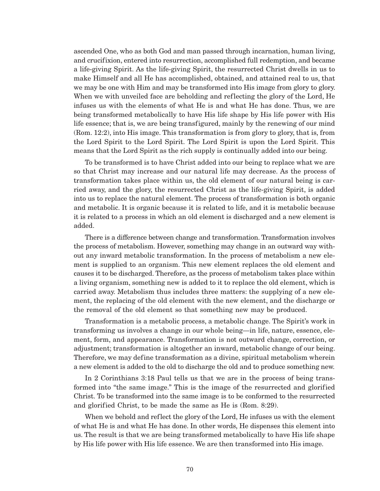ascended One, who as both God and man passed through incarnation, human living, and crucifixion, entered into resurrection, accomplished full redemption, and became a life-giving Spirit. As the life-giving Spirit, the resurrected Christ dwells in us to make Himself and all He has accomplished, obtained, and attained real to us, that we may be one with Him and may be transformed into His image from glory to glory. When we with unveiled face are beholding and reflecting the glory of the Lord, He infuses us with the elements of what He is and what He has done. Thus, we are being transformed metabolically to have His life shape by His life power with His life essence; that is, we are being transfigured, mainly by the renewing of our mind (Rom. 12:2), into His image. This transformation is from glory to glory, that is, from the Lord Spirit to the Lord Spirit. The Lord Spirit is upon the Lord Spirit. This means that the Lord Spirit as the rich supply is continually added into our being.

To be transformed is to have Christ added into our being to replace what we are so that Christ may increase and our natural life may decrease. As the process of transformation takes place within us, the old element of our natural being is carried away, and the glory, the resurrected Christ as the life-giving Spirit, is added into us to replace the natural element. The process of transformation is both organic and metabolic. It is organic because it is related to life, and it is metabolic because it is related to a process in which an old element is discharged and a new element is added.

There is a difference between change and transformation. Transformation involves the process of metabolism. However, something may change in an outward way without any inward metabolic transformation. In the process of metabolism a new element is supplied to an organism. This new element replaces the old element and causes it to be discharged. Therefore, as the process of metabolism takes place within a living organism, something new is added to it to replace the old element, which is carried away. Metabolism thus includes three matters: the supplying of a new element, the replacing of the old element with the new element, and the discharge or the removal of the old element so that something new may be produced.

Transformation is a metabolic process, a metabolic change. The Spirit's work in transforming us involves a change in our whole being—in life, nature, essence, element, form, and appearance. Transformation is not outward change, correction, or adjustment; transformation is altogether an inward, metabolic change of our being. Therefore, we may define transformation as a divine, spiritual metabolism wherein a new element is added to the old to discharge the old and to produce something new.

In 2 Corinthians 3:18 Paul tells us that we are in the process of being transformed into "the same image." This is the image of the resurrected and glorified Christ. To be transformed into the same image is to be conformed to the resurrected and glorified Christ, to be made the same as He is (Rom. 8:29).

When we behold and reflect the glory of the Lord, He infuses us with the element of what He is and what He has done. In other words, He dispenses this element into us. The result is that we are being transformed metabolically to have His life shape by His life power with His life essence. We are then transformed into His image.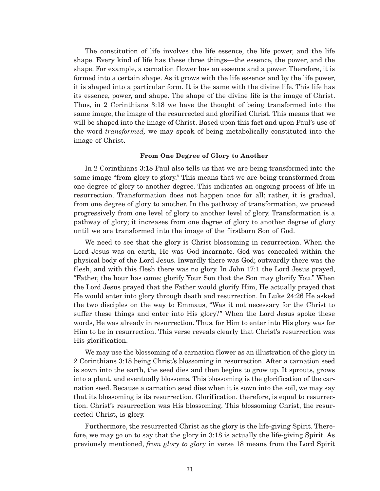The constitution of life involves the life essence, the life power, and the life shape. Every kind of life has these three things—the essence, the power, and the shape. For example, a carnation flower has an essence and a power. Therefore, it is formed into a certain shape. As it grows with the life essence and by the life power, it is shaped into a particular form. It is the same with the divine life. This life has its essence, power, and shape. The shape of the divine life is the image of Christ. Thus, in 2 Corinthians 3:18 we have the thought of being transformed into the same image, the image of the resurrected and glorified Christ. This means that we will be shaped into the image of Christ. Based upon this fact and upon Paul's use of the word *transformed,* we may speak of being metabolically constituted into the image of Christ.

#### **From One Degree of Glory to Another**

In 2 Corinthians 3:18 Paul also tells us that we are being transformed into the same image "from glory to glory." This means that we are being transformed from one degree of glory to another degree. This indicates an ongoing process of life in resurrection. Transformation does not happen once for all; rather, it is gradual, from one degree of glory to another. In the pathway of transformation, we proceed progressively from one level of glory to another level of glory. Transformation is a pathway of glory; it increases from one degree of glory to another degree of glory until we are transformed into the image of the firstborn Son of God.

We need to see that the glory is Christ blossoming in resurrection. When the Lord Jesus was on earth, He was God incarnate. God was concealed within the physical body of the Lord Jesus. Inwardly there was God; outwardly there was the flesh, and with this flesh there was no glory. In John 17:1 the Lord Jesus prayed, "Father, the hour has come; glorify Your Son that the Son may glorify You." When the Lord Jesus prayed that the Father would glorify Him, He actually prayed that He would enter into glory through death and resurrection. In Luke 24:26 He asked the two disciples on the way to Emmaus, "Was it not necessary for the Christ to suffer these things and enter into His glory?" When the Lord Jesus spoke these words, He was already in resurrection. Thus, for Him to enter into His glory was for Him to be in resurrection. This verse reveals clearly that Christ's resurrection was His glorification.

We may use the blossoming of a carnation flower as an illustration of the glory in 2 Corinthians 3:18 being Christ's blossoming in resurrection. After a carnation seed is sown into the earth, the seed dies and then begins to grow up. It sprouts, grows into a plant, and eventually blossoms. This blossoming is the glorification of the carnation seed. Because a carnation seed dies when it is sown into the soil, we may say that its blossoming is its resurrection. Glorification, therefore, is equal to resurrection. Christ's resurrection was His blossoming. This blossoming Christ, the resurrected Christ, is glory.

Furthermore, the resurrected Christ as the glory is the life-giving Spirit. Therefore, we may go on to say that the glory in 3:18 is actually the life-giving Spirit. As previously mentioned, *from glory to glory* in verse 18 means from the Lord Spirit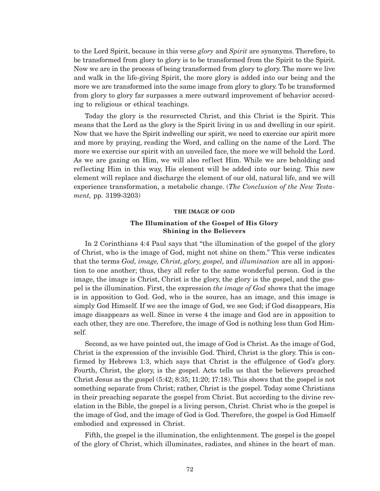to the Lord Spirit, because in this verse *glory* and *Spirit* are synonyms. Therefore, to be transformed from glory to glory is to be transformed from the Spirit to the Spirit. Now we are in the process of being transformed from glory to glory. The more we live and walk in the life-giving Spirit, the more glory is added into our being and the more we are transformed into the same image from glory to glory. To be transformed from glory to glory far surpasses a mere outward improvement of behavior according to religious or ethical teachings.

Today the glory is the resurrected Christ, and this Christ is the Spirit. This means that the Lord as the glory is the Spirit living in us and dwelling in our spirit. Now that we have the Spirit indwelling our spirit, we need to exercise our spirit more and more by praying, reading the Word, and calling on the name of the Lord. The more we exercise our spirit with an unveiled face, the more we will behold the Lord. As we are gazing on Him, we will also reflect Him. While we are beholding and reflecting Him in this way, His element will be added into our being. This new element will replace and discharge the element of our old, natural life, and we will experience transformation, a metabolic change. (*The Conclusion of the New Testament,* pp. 3199-3203)

#### **THE IMAGE OF GOD**

### **The Illumination of the Gospel of His Glory Shining in the Believers**

In 2 Corinthians 4:4 Paul says that "the illumination of the gospel of the glory of Christ, who is the image of God, might not shine on them." This verse indicates that the terms *God, image, Christ, glory, gospel,* and *illumination* are all in apposition to one another; thus, they all refer to the same wonderful person. God is the image, the image is Christ, Christ is the glory, the glory is the gospel, and the gospel is the illumination. First, the expression *the image of God* shows that the image is in apposition to God. God, who is the source, has an image, and this image is simply God Himself. If we see the image of God, we see God; if God disappears, His image disappears as well. Since in verse 4 the image and God are in apposition to each other, they are one. Therefore, the image of God is nothing less than God Himself.

Second, as we have pointed out, the image of God is Christ. As the image of God, Christ is the expression of the invisible God. Third, Christ is the glory. This is confirmed by Hebrews 1:3, which says that Christ is the effulgence of God's glory. Fourth, Christ, the glory, is the gospel. Acts tells us that the believers preached Christ Jesus as the gospel (5:42; 8:35; 11:20; 17:18). This shows that the gospel is not something separate from Christ; rather, Christ is the gospel. Today some Christians in their preaching separate the gospel from Christ. But according to the divine revelation in the Bible, the gospel is a living person, Christ. Christ who is the gospel is the image of God, and the image of God is God. Therefore, the gospel is God Himself embodied and expressed in Christ.

Fifth, the gospel is the illumination, the enlightenment. The gospel is the gospel of the glory of Christ, which illuminates, radiates, and shines in the heart of man.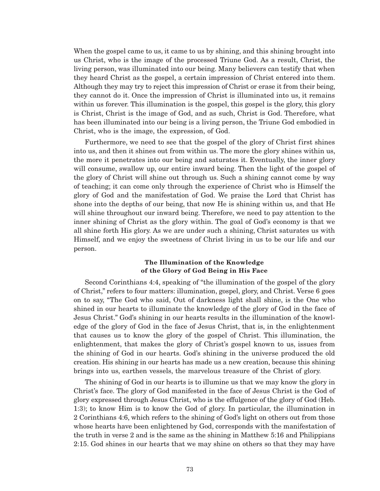When the gospel came to us, it came to us by shining, and this shining brought into us Christ, who is the image of the processed Triune God. As a result, Christ, the living person, was illuminated into our being. Many believers can testify that when they heard Christ as the gospel, a certain impression of Christ entered into them. Although they may try to reject this impression of Christ or erase it from their being, they cannot do it. Once the impression of Christ is illuminated into us, it remains within us forever. This illumination is the gospel, this gospel is the glory, this glory is Christ, Christ is the image of God, and as such, Christ is God. Therefore, what has been illuminated into our being is a living person, the Triune God embodied in Christ, who is the image, the expression, of God.

Furthermore, we need to see that the gospel of the glory of Christ first shines into us, and then it shines out from within us. The more the glory shines within us, the more it penetrates into our being and saturates it. Eventually, the inner glory will consume, swallow up, our entire inward being. Then the light of the gospel of the glory of Christ will shine out through us. Such a shining cannot come by way of teaching; it can come only through the experience of Christ who is Himself the glory of God and the manifestation of God. We praise the Lord that Christ has shone into the depths of our being, that now He is shining within us, and that He will shine throughout our inward being. Therefore, we need to pay attention to the inner shining of Christ as the glory within. The goal of God's economy is that we all shine forth His glory. As we are under such a shining, Christ saturates us with Himself, and we enjoy the sweetness of Christ living in us to be our life and our person.

### **The Illumination of the Knowledge of the Glory of God Being in His Face**

Second Corinthians 4:4, speaking of "the illumination of the gospel of the glory of Christ," refers to four matters: illumination, gospel, glory, and Christ. Verse 6 goes on to say, "The God who said, Out of darkness light shall shine, is the One who shined in our hearts to illuminate the knowledge of the glory of God in the face of Jesus Christ." God's shining in our hearts results in the illumination of the knowledge of the glory of God in the face of Jesus Christ, that is, in the enlightenment that causes us to know the glory of the gospel of Christ. This illumination, the enlightenment, that makes the glory of Christ's gospel known to us, issues from the shining of God in our hearts. God's shining in the universe produced the old creation. His shining in our hearts has made us a new creation, because this shining brings into us, earthen vessels, the marvelous treasure of the Christ of glory.

The shining of God in our hearts is to illumine us that we may know the glory in Christ's face. The glory of God manifested in the face of Jesus Christ is the God of glory expressed through Jesus Christ, who is the effulgence of the glory of God (Heb. 1:3); to know Him is to know the God of glory. In particular, the illumination in 2 Corinthians 4:6, which refers to the shining of God's light on others out from those whose hearts have been enlightened by God, corresponds with the manifestation of the truth in verse 2 and is the same as the shining in Matthew 5:16 and Philippians 2:15. God shines in our hearts that we may shine on others so that they may have